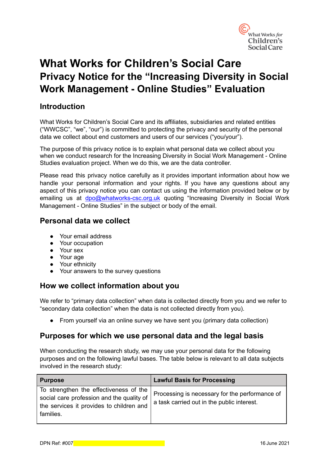

# **What Works for Children's Social Care Privacy Notice for the "Increasing Diversity in Social Work Management - Online Studies" Evaluation**

### **Introduction**

What Works for Children's Social Care and its affiliates, subsidiaries and related entities ("WWCSC", "we", "our") is committed to protecting the privacy and security of the personal data we collect about end customers and users of our services ("you/your").

The purpose of this privacy notice is to explain what personal data we collect about you when we conduct research for the Increasing Diversity in Social Work Management - Online Studies evaluation project. When we do this, we are the data controller.

Please read this privacy notice carefully as it provides important information about how we handle your personal information and your rights. If you have any questions about any aspect of this privacy notice you can contact us using the information provided below or by emailing us at [dpo@whatworks-csc.org.uk](mailto:dpo@whatworks-csc.org.uk) quoting "Increasing Diversity in Social Work Management - Online Studies" in the subject or body of the email.

### **Personal data we collect**

- Your email address
- Your occupation
- Your sex
- Your age
- Your ethnicity
- Your answers to the survey questions

### **How we collect information about you**

We refer to "primary data collection" when data is collected directly from you and we refer to "secondary data collection" when the data is not collected directly from you).

● From yourself via an online survey we have sent you (primary data collection)

### **Purposes for which we use personal data and the legal basis**

When conducting the research study, we may use your personal data for the following purposes and on the following lawful bases. The table below is relevant to all data subjects involved in the research study:

| <b>Purpose</b>                                                                                                                                 | <b>Lawful Basis for Processing</b>                                                           |
|------------------------------------------------------------------------------------------------------------------------------------------------|----------------------------------------------------------------------------------------------|
| To strengthen the effectiveness of the  <br>social care profession and the quality of<br>the services it provides to children and<br>families. | Processing is necessary for the performance of<br>a task carried out in the public interest. |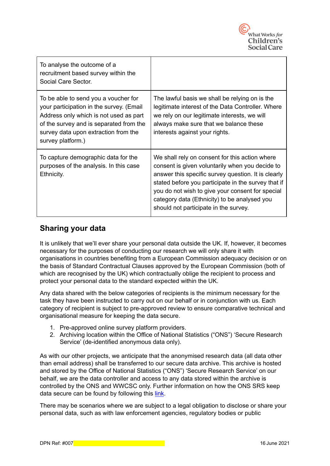

| To analyse the outcome of a<br>recruitment based survey within the<br>Social Care Sector.                                                                                                                                          |                                                                                                                                                                                                                                                                                                                                                              |
|------------------------------------------------------------------------------------------------------------------------------------------------------------------------------------------------------------------------------------|--------------------------------------------------------------------------------------------------------------------------------------------------------------------------------------------------------------------------------------------------------------------------------------------------------------------------------------------------------------|
| To be able to send you a voucher for<br>your participation in the survey. (Email<br>Address only which is not used as part<br>of the survey and is separated from the<br>survey data upon extraction from the<br>survey platform.) | The lawful basis we shall be relying on is the<br>legitimate interest of the Data Controller. Where<br>we rely on our legitimate interests, we will<br>always make sure that we balance these<br>interests against your rights.                                                                                                                              |
| To capture demographic data for the<br>purposes of the analysis. In this case<br>Ethnicity.                                                                                                                                        | We shall rely on consent for this action where<br>consent is given voluntarily when you decide to<br>answer this specific survey question. It is clearly<br>stated before you participate in the survey that if<br>you do not wish to give your consent for special<br>category data (Ethnicity) to be analysed you<br>should not participate in the survey. |

### **Sharing your data**

It is unlikely that we'll ever share your personal data outside the UK. If, however, it becomes necessary for the purposes of conducting our research we will only share it with organisations in countries benefiting from a European Commission adequacy decision or on the basis of Standard Contractual Clauses approved by the European Commission (both of which are recognised by the UK) which contractually oblige the recipient to process and protect your personal data to the standard expected within the UK.

Any data shared with the below categories of recipients is the minimum necessary for the task they have been instructed to carry out on our behalf or in conjunction with us. Each category of recipient is subject to pre-approved review to ensure comparative technical and organisational measure for keeping the data secure.

- 1. Pre-approved online survey platform providers.
- 2. Archiving location within the Office of National Statistics ("ONS") 'Secure Research Service' (de-identified anonymous data only).

As with our other projects, we anticipate that the anonymised research data (all data other than email address) shall be transferred to our secure data archive. This archive is hosted and stored by the Office of National Statistics ("ONS") 'Secure Research Service' on our behalf, we are the data controller and access to any data stored within the archive is controlled by the ONS and WWCSC only. Further information on how the ONS SRS keep data secure can be found by following this [link](https://www.ons.gov.uk/aboutus/whatwedo/statistics/requestingstatistics/approvedresearcherscheme#:~:text=The%20Office%20for%20National%20Statistics,projects%20for%20the%20public%20good.&text=The%20framework%20is%20a%20set,secure%20labs%2C%20including%20the%20ONS.).

There may be scenarios where we are subject to a legal obligation to disclose or share your personal data, such as with law enforcement agencies, regulatory bodies or public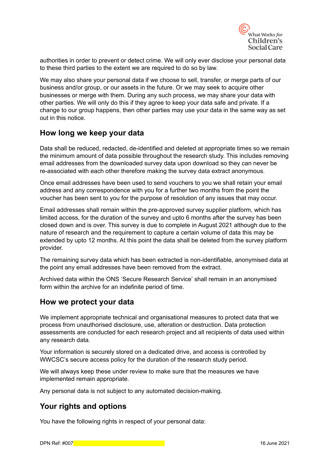

authorities in order to prevent or detect crime. We will only ever disclose your personal data to these third parties to the extent we are required to do so by law.

We may also share your personal data if we choose to sell, transfer, or merge parts of our business and/or group, or our assets in the future. Or we may seek to acquire other businesses or merge with them. During any such process, we may share your data with other parties. We will only do this if they agree to keep your data safe and private. If a change to our group happens, then other parties may use your data in the same way as set out in this notice.

### **How long we keep your data**

Data shall be reduced, redacted, de-identified and deleted at appropriate times so we remain the minimum amount of data possible throughout the research study. This includes removing email addresses from the downloaded survey data upon download so they can never be re-associated with each other therefore making the survey data extract anonymous.

Once email addresses have been used to send vouchers to you we shall retain your email address and any correspondence with you for a further two months from the point the voucher has been sent to you for the purpose of resolution of any issues that may occur.

Email addresses shall remain within the pre-approved survey supplier platform, which has limited access, for the duration of the survey and upto 6 months after the survey has been closed down and is over. This survey is due to complete in August 2021 although due to the nature of research and the requirement to capture a certain volume of data this may be extended by upto 12 months. At this point the data shall be deleted from the survey platform provider.

The remaining survey data which has been extracted is non-identifiable, anonymised data at the point any email addresses have been removed from the extract.

Archived data within the ONS 'Secure Research Service' shall remain in an anonymised form within the archive for an indefinite period of time.

#### **How we protect your data**

We implement appropriate technical and organisational measures to protect data that we process from unauthorised disclosure, use, alteration or destruction. Data protection assessments are conducted for each research project and all recipients of data used within any research data.

Your information is securely stored on a dedicated drive, and access is controlled by WWCSC's secure access policy for the duration of the research study period.

We will always keep these under review to make sure that the measures we have implemented remain appropriate.

Any personal data is not subject to any automated decision-making.

### **Your rights and options**

You have the following rights in respect of your personal data: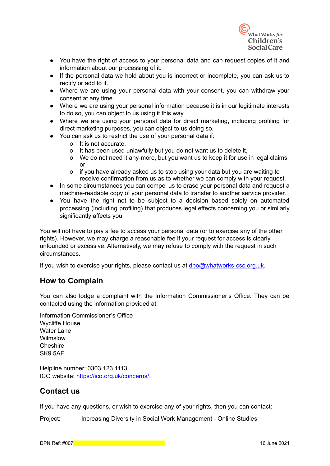

- You have the right of access to your personal data and can request copies of it and information about our processing of it.
- If the personal data we hold about you is incorrect or incomplete, you can ask us to rectify or add to it.
- Where we are using your personal data with your consent, you can withdraw your consent at any time.
- Where we are using your personal information because it is in our legitimate interests to do so, you can object to us using it this way.
- Where we are using your personal data for direct marketing, including profiling for direct marketing purposes, you can object to us doing so.
- You can ask us to restrict the use of your personal data if:
	- o It is not accurate,
	- o It has been used unlawfully but you do not want us to delete it,
	- o We do not need it any-more, but you want us to keep it for use in legal claims, or
	- o if you have already asked us to stop using your data but you are waiting to receive confirmation from us as to whether we can comply with your request.
- In some circumstances you can compel us to erase your personal data and request a machine-readable copy of your personal data to transfer to another service provider.
- You have the right not to be subject to a decision based solely on automated processing (including profiling) that produces legal effects concerning you or similarly significantly affects you.

You will not have to pay a fee to access your personal data (or to exercise any of the other rights). However, we may charge a reasonable fee if your request for access is clearly unfounded or excessive. Alternatively, we may refuse to comply with the request in such circumstances.

If you wish to exercise your rights, please contact us at [dpo@whatworks-csc.org.uk.](mailto:dpo@whatworks-csc.org.uk)

### **How to Complain**

You can also lodge a complaint with the Information Commissioner's Office. They can be contacted using the information provided at:

Information Commissioner's Office Wycliffe House Water Lane Wilmslow Cheshire SK9 5AF

Helpline number: 0303 123 1113 ICO website: <https://ico.org.uk/concerns/>.

### **Contact us**

If you have any questions, or wish to exercise any of your rights, then you can contact:

Project: Increasing Diversity in Social Work Management - Online Studies